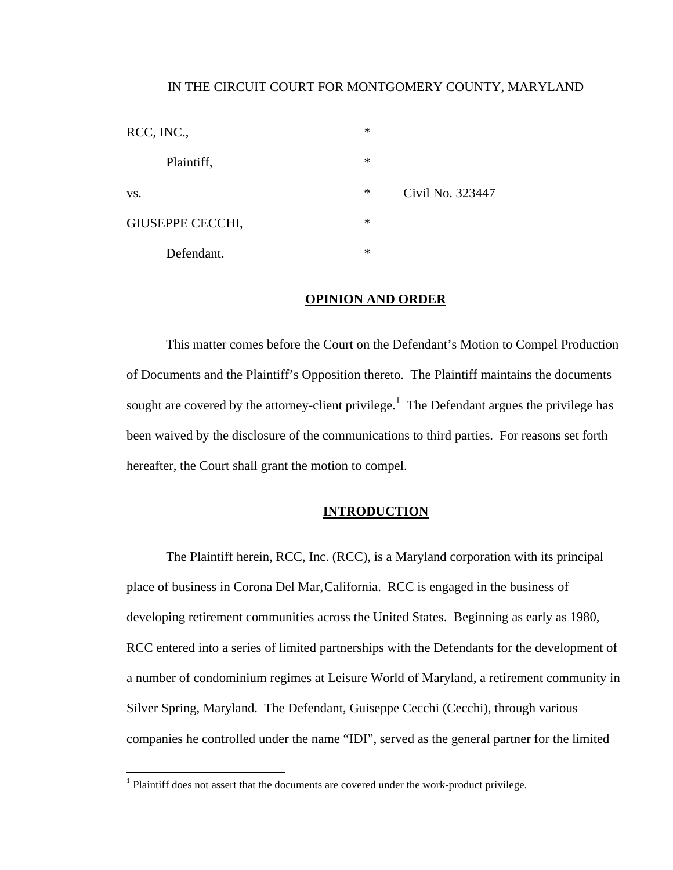### IN THE CIRCUIT COURT FOR MONTGOMERY COUNTY, MARYLAND

| RCC, INC.,              | $\ast$ |                  |
|-------------------------|--------|------------------|
| Plaintiff,              | $\ast$ |                  |
| VS.                     | ∗      | Civil No. 323447 |
| <b>GIUSEPPE CECCHI,</b> | $\ast$ |                  |
| Defendant.              | $\ast$ |                  |

# **OPINION AND ORDER**

 This matter comes before the Court on the Defendant's Motion to Compel Production of Documents and the Plaintiff's Opposition thereto. The Plaintiff maintains the documents sought are covered by the attorney-client privilege.<sup>1</sup> The Defendant argues the privilege has been waived by the disclosure of the communications to third parties. For reasons set forth hereafter, the Court shall grant the motion to compel.

# **INTRODUCTION**

 The Plaintiff herein, RCC, Inc. (RCC), is a Maryland corporation with its principal place of business in Corona Del Mar, California. RCC is engaged in the business of developing retirement communities across the United States. Beginning as early as 1980, RCC entered into a series of limited partnerships with the Defendants for the development of a number of condominium regimes at Leisure World of Maryland, a retirement community in Silver Spring, Maryland. The Defendant, Guiseppe Cecchi (Cecchi), through various companies he controlled under the name "IDI", served as the general partner for the limited

 1 Plaintiff does not assert that the documents are covered under the work-product privilege.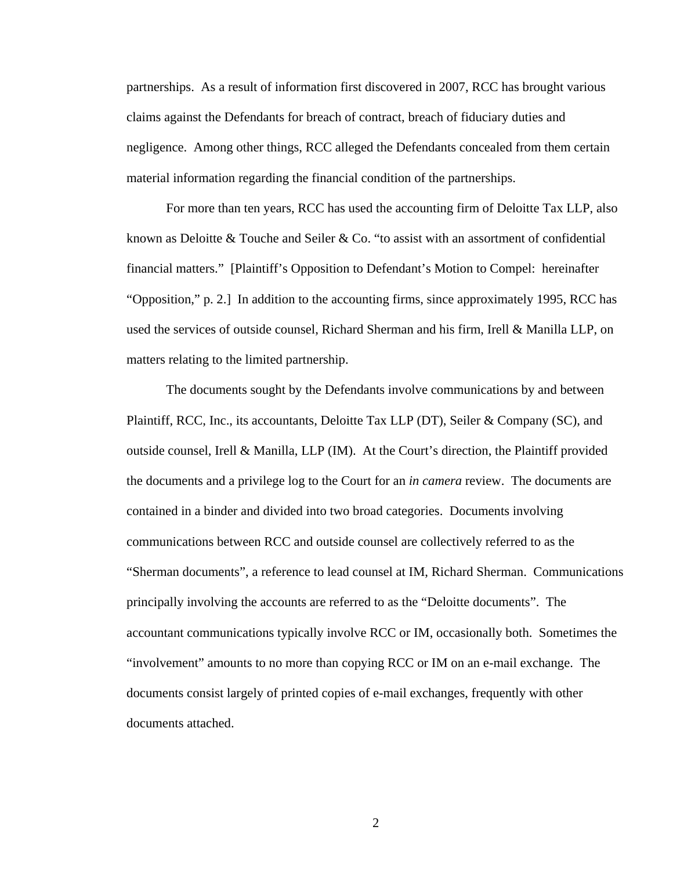partnerships. As a result of information first discovered in 2007, RCC has brought various claims against the Defendants for breach of contract, breach of fiduciary duties and negligence. Among other things, RCC alleged the Defendants concealed from them certain material information regarding the financial condition of the partnerships.

 For more than ten years, RCC has used the accounting firm of Deloitte Tax LLP, also known as Deloitte & Touche and Seiler & Co. "to assist with an assortment of confidential financial matters." [Plaintiff's Opposition to Defendant's Motion to Compel: hereinafter "Opposition," p. 2.] In addition to the accounting firms, since approximately 1995, RCC has used the services of outside counsel, Richard Sherman and his firm, Irell & Manilla LLP, on matters relating to the limited partnership.

 The documents sought by the Defendants involve communications by and between Plaintiff, RCC, Inc., its accountants, Deloitte Tax LLP (DT), Seiler & Company (SC), and outside counsel, Irell & Manilla, LLP (IM). At the Court's direction, the Plaintiff provided the documents and a privilege log to the Court for an *in camera* review. The documents are contained in a binder and divided into two broad categories. Documents involving communications between RCC and outside counsel are collectively referred to as the "Sherman documents", a reference to lead counsel at IM, Richard Sherman. Communications principally involving the accounts are referred to as the "Deloitte documents". The accountant communications typically involve RCC or IM, occasionally both. Sometimes the "involvement" amounts to no more than copying RCC or IM on an e-mail exchange. The documents consist largely of printed copies of e-mail exchanges, frequently with other documents attached.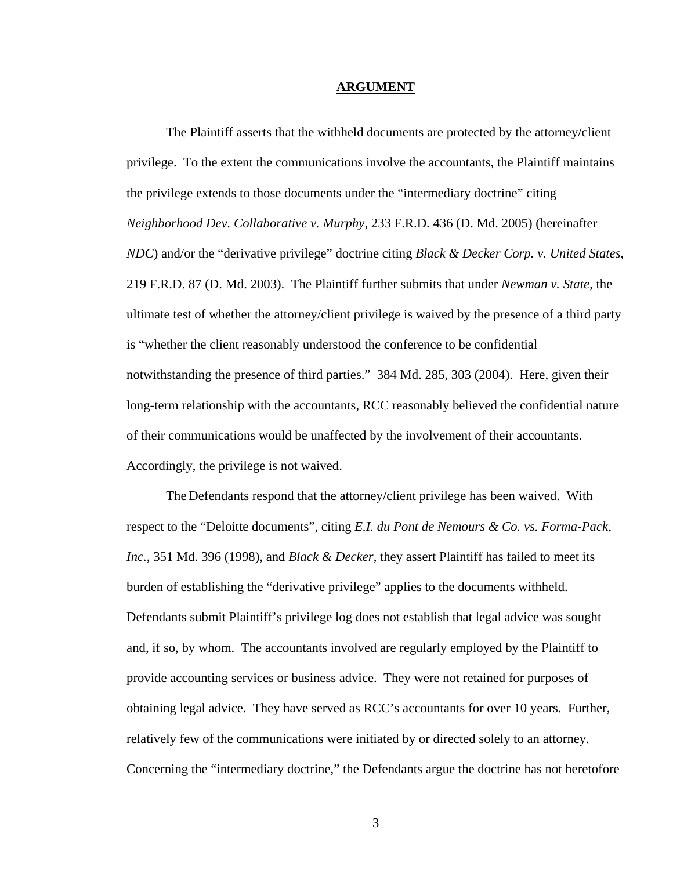#### **ARGUMENT**

 The Plaintiff asserts that the withheld documents are protected by the attorney/client privilege. To the extent the communications involve the accountants, the Plaintiff maintains the privilege extends to those documents under the "intermediary doctrine" citing *Neighborhood Dev. Collaborative v. Murphy*, 233 F.R.D. 436 (D. Md. 2005) (hereinafter *NDC*) and/or the "derivative privilege" doctrine citing *Black & Decker Corp. v. United States*, 219 F.R.D. 87 (D. Md. 2003). The Plaintiff further submits that under *Newman v. State*, the ultimate test of whether the attorney/client privilege is waived by the presence of a third party is "whether the client reasonably understood the conference to be confidential notwithstanding the presence of third parties." 384 Md. 285, 303 (2004). Here, given their long-term relationship with the accountants, RCC reasonably believed the confidential nature of their communications would be unaffected by the involvement of their accountants. Accordingly, the privilege is not waived.

 The Defendants respond that the attorney/client privilege has been waived. With respect to the "Deloitte documents", citing *E.I. du Pont de Nemours & Co. vs. Forma-Pack, Inc.*, 351 Md. 396 (1998), and *Black & Decker*, they assert Plaintiff has failed to meet its burden of establishing the "derivative privilege" applies to the documents withheld. Defendants submit Plaintiff's privilege log does not establish that legal advice was sought and, if so, by whom. The accountants involved are regularly employed by the Plaintiff to provide accounting services or business advice. They were not retained for purposes of obtaining legal advice. They have served as RCC's accountants for over 10 years. Further, relatively few of the communications were initiated by or directed solely to an attorney. Concerning the "intermediary doctrine," the Defendants argue the doctrine has not heretofore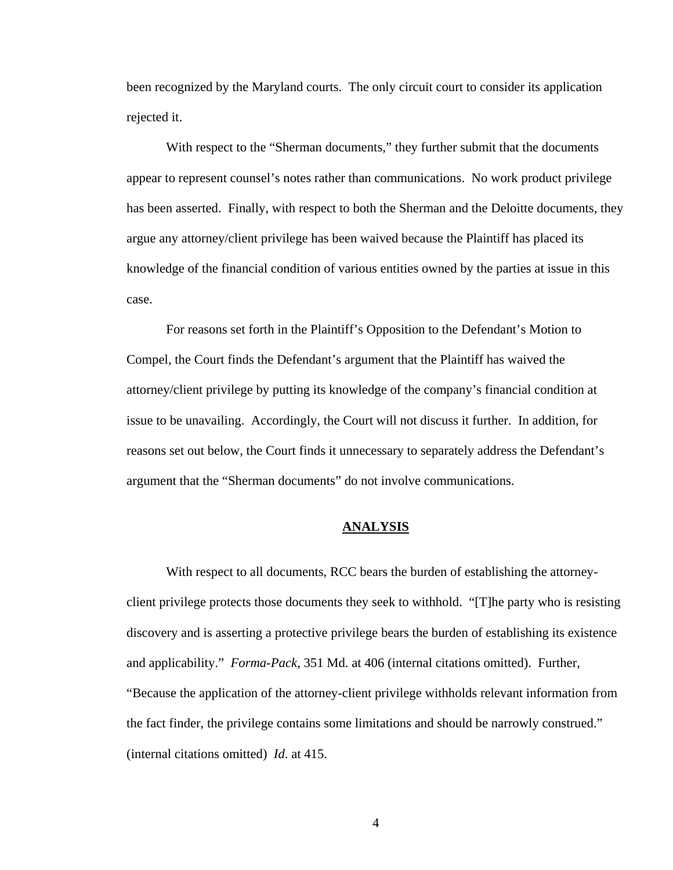been recognized by the Maryland courts. The only circuit court to consider its application rejected it.

With respect to the "Sherman documents," they further submit that the documents appear to represent counsel's notes rather than communications. No work product privilege has been asserted. Finally, with respect to both the Sherman and the Deloitte documents, they argue any attorney/client privilege has been waived because the Plaintiff has placed its knowledge of the financial condition of various entities owned by the parties at issue in this case.

For reasons set forth in the Plaintiff's Opposition to the Defendant's Motion to Compel, the Court finds the Defendant's argument that the Plaintiff has waived the attorney/client privilege by putting its knowledge of the company's financial condition at issue to be unavailing. Accordingly, the Court will not discuss it further. In addition, for reasons set out below, the Court finds it unnecessary to separately address the Defendant's argument that the "Sherman documents" do not involve communications.

## **ANALYSIS**

With respect to all documents, RCC bears the burden of establishing the attorneyclient privilege protects those documents they seek to withhold. "[T]he party who is resisting discovery and is asserting a protective privilege bears the burden of establishing its existence and applicability." *Forma-Pack*, 351 Md. at 406 (internal citations omitted). Further, "Because the application of the attorney-client privilege withholds relevant information from the fact finder, the privilege contains some limitations and should be narrowly construed." (internal citations omitted) *Id*. at 415.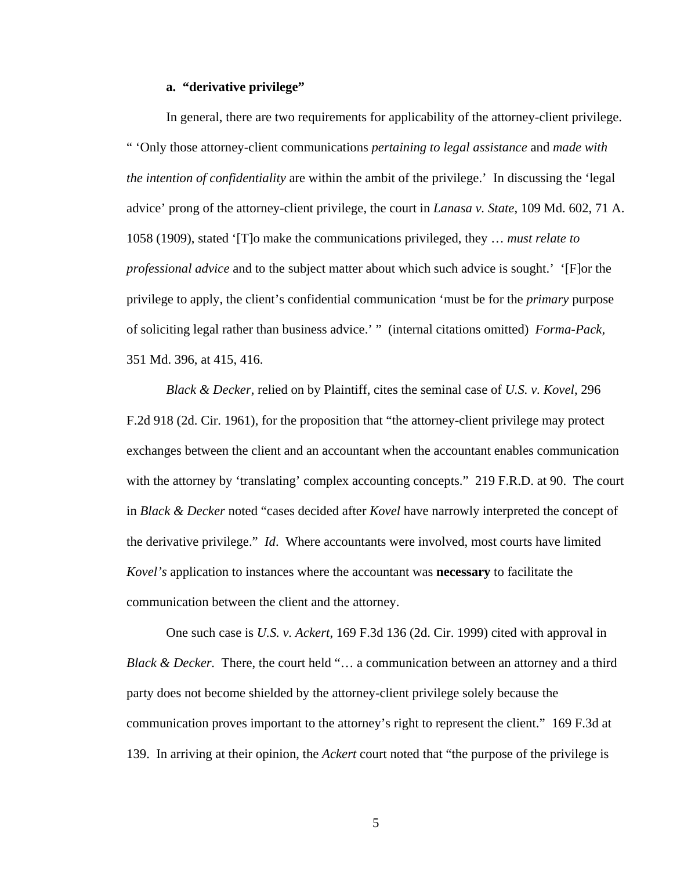### **a. "derivative privilege"**

 In general, there are two requirements for applicability of the attorney-client privilege. " 'Only those attorney-client communications *pertaining to legal assistance* and *made with the intention of confidentiality* are within the ambit of the privilege.' In discussing the 'legal advice' prong of the attorney-client privilege, the court in *Lanasa v. State*, 109 Md. 602, 71 A. 1058 (1909), stated '[T]o make the communications privileged, they … *must relate to professional advice* and to the subject matter about which such advice is sought.' '[F]or the privilege to apply, the client's confidential communication 'must be for the *primary* purpose of soliciting legal rather than business advice.' " (internal citations omitted) *Forma-Pack,*  351 Md. 396, at 415, 416.

*Black & Decker*, relied on by Plaintiff, cites the seminal case of *U.S. v. Kovel*, 296 F.2d 918 (2d. Cir. 1961), for the proposition that "the attorney-client privilege may protect exchanges between the client and an accountant when the accountant enables communication with the attorney by 'translating' complex accounting concepts." 219 F.R.D. at 90. The court in *Black & Decker* noted "cases decided after *Kovel* have narrowly interpreted the concept of the derivative privilege." *Id*. Where accountants were involved, most courts have limited *Kovel's* application to instances where the accountant was **necessary** to facilitate the communication between the client and the attorney.

One such case is *U.S. v. Ackert*, 169 F.3d 136 (2d. Cir. 1999) cited with approval in *Black & Decker.* There, the court held "... a communication between an attorney and a third party does not become shielded by the attorney-client privilege solely because the communication proves important to the attorney's right to represent the client." 169 F.3d at 139. In arriving at their opinion, the *Ackert* court noted that "the purpose of the privilege is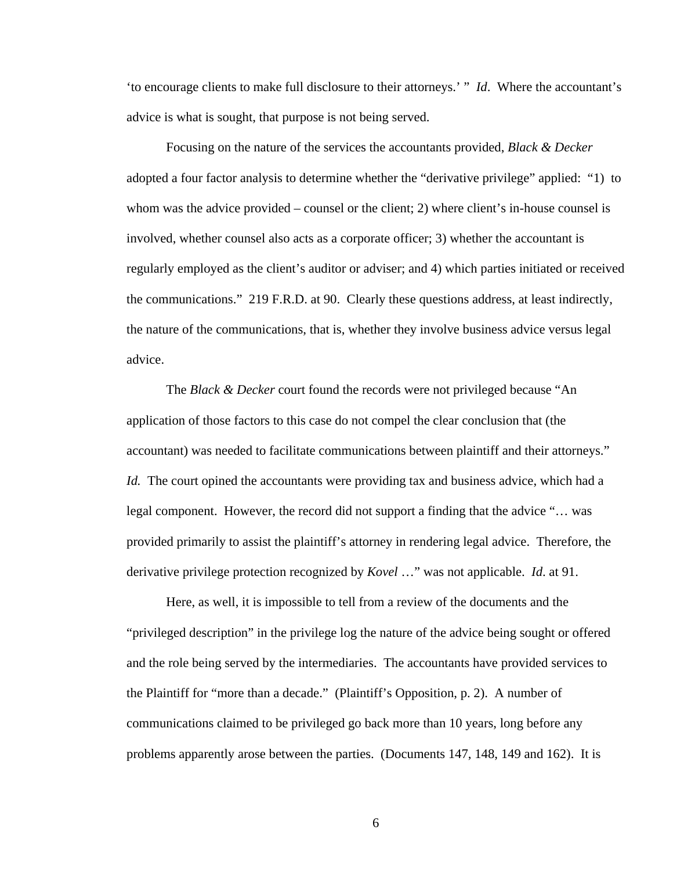'to encourage clients to make full disclosure to their attorneys.' " *Id*. Where the accountant's advice is what is sought, that purpose is not being served.

Focusing on the nature of the services the accountants provided, *Black & Decker* adopted a four factor analysis to determine whether the "derivative privilege" applied: "1) to whom was the advice provided – counsel or the client; 2) where client's in-house counsel is involved, whether counsel also acts as a corporate officer; 3) whether the accountant is regularly employed as the client's auditor or adviser; and 4) which parties initiated or received the communications." 219 F.R.D. at 90. Clearly these questions address, at least indirectly, the nature of the communications, that is, whether they involve business advice versus legal advice.

 The *Black & Decker* court found the records were not privileged because "An application of those factors to this case do not compel the clear conclusion that (the accountant) was needed to facilitate communications between plaintiff and their attorneys." *Id.* The court opined the accountants were providing tax and business advice, which had a legal component. However, the record did not support a finding that the advice "… was provided primarily to assist the plaintiff's attorney in rendering legal advice. Therefore, the derivative privilege protection recognized by *Kovel* …" was not applicable. *Id*. at 91.

Here, as well, it is impossible to tell from a review of the documents and the "privileged description" in the privilege log the nature of the advice being sought or offered and the role being served by the intermediaries. The accountants have provided services to the Plaintiff for "more than a decade." (Plaintiff's Opposition, p. 2). A number of communications claimed to be privileged go back more than 10 years, long before any problems apparently arose between the parties. (Documents 147, 148, 149 and 162). It is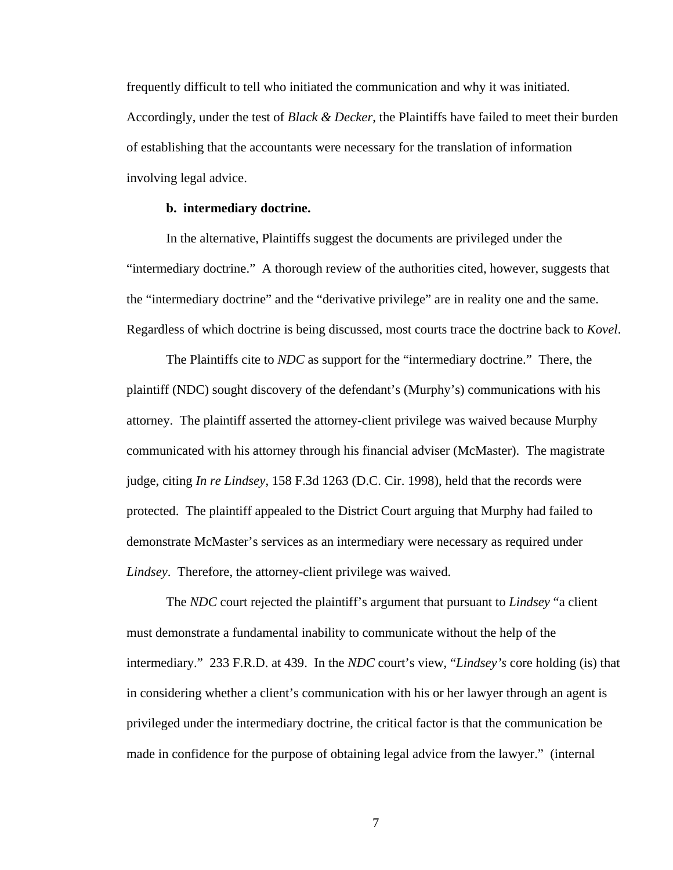frequently difficult to tell who initiated the communication and why it was initiated. Accordingly, under the test of *Black & Decker*, the Plaintiffs have failed to meet their burden of establishing that the accountants were necessary for the translation of information involving legal advice.

#### **b. intermediary doctrine.**

 In the alternative, Plaintiffs suggest the documents are privileged under the "intermediary doctrine." A thorough review of the authorities cited, however, suggests that the "intermediary doctrine" and the "derivative privilege" are in reality one and the same. Regardless of which doctrine is being discussed, most courts trace the doctrine back to *Kovel*.

 The Plaintiffs cite to *NDC* as support for the "intermediary doctrine." There, the plaintiff (NDC) sought discovery of the defendant's (Murphy's) communications with his attorney. The plaintiff asserted the attorney-client privilege was waived because Murphy communicated with his attorney through his financial adviser (McMaster). The magistrate judge, citing *In re Lindsey*, 158 F.3d 1263 (D.C. Cir. 1998), held that the records were protected. The plaintiff appealed to the District Court arguing that Murphy had failed to demonstrate McMaster's services as an intermediary were necessary as required under *Lindsey*. Therefore, the attorney-client privilege was waived.

 The *NDC* court rejected the plaintiff's argument that pursuant to *Lindsey* "a client must demonstrate a fundamental inability to communicate without the help of the intermediary." 233 F.R.D. at 439. In the *NDC* court's view, "*Lindsey's* core holding (is) that in considering whether a client's communication with his or her lawyer through an agent is privileged under the intermediary doctrine, the critical factor is that the communication be made in confidence for the purpose of obtaining legal advice from the lawyer." (internal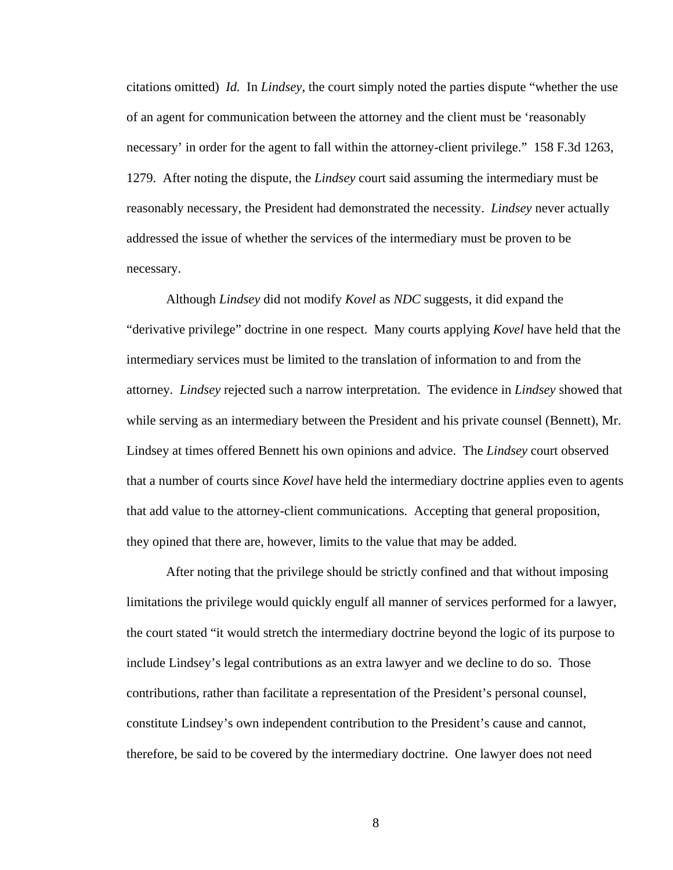citations omitted) *Id.* In *Lindsey*, the court simply noted the parties dispute "whether the use of an agent for communication between the attorney and the client must be 'reasonably necessary' in order for the agent to fall within the attorney-client privilege." 158 F.3d 1263, 1279. After noting the dispute, the *Lindsey* court said assuming the intermediary must be reasonably necessary, the President had demonstrated the necessity. *Lindsey* never actually addressed the issue of whether the services of the intermediary must be proven to be necessary.

Although *Lindsey* did not modify *Kovel* as *NDC* suggests, it did expand the "derivative privilege" doctrine in one respect. Many courts applying *Kovel* have held that the intermediary services must be limited to the translation of information to and from the attorney. *Lindsey* rejected such a narrow interpretation. The evidence in *Lindsey* showed that while serving as an intermediary between the President and his private counsel (Bennett), Mr. Lindsey at times offered Bennett his own opinions and advice. The *Lindsey* court observed that a number of courts since *Kovel* have held the intermediary doctrine applies even to agents that add value to the attorney-client communications. Accepting that general proposition, they opined that there are, however, limits to the value that may be added.

After noting that the privilege should be strictly confined and that without imposing limitations the privilege would quickly engulf all manner of services performed for a lawyer, the court stated "it would stretch the intermediary doctrine beyond the logic of its purpose to include Lindsey's legal contributions as an extra lawyer and we decline to do so. Those contributions, rather than facilitate a representation of the President's personal counsel, constitute Lindsey's own independent contribution to the President's cause and cannot, therefore, be said to be covered by the intermediary doctrine. One lawyer does not need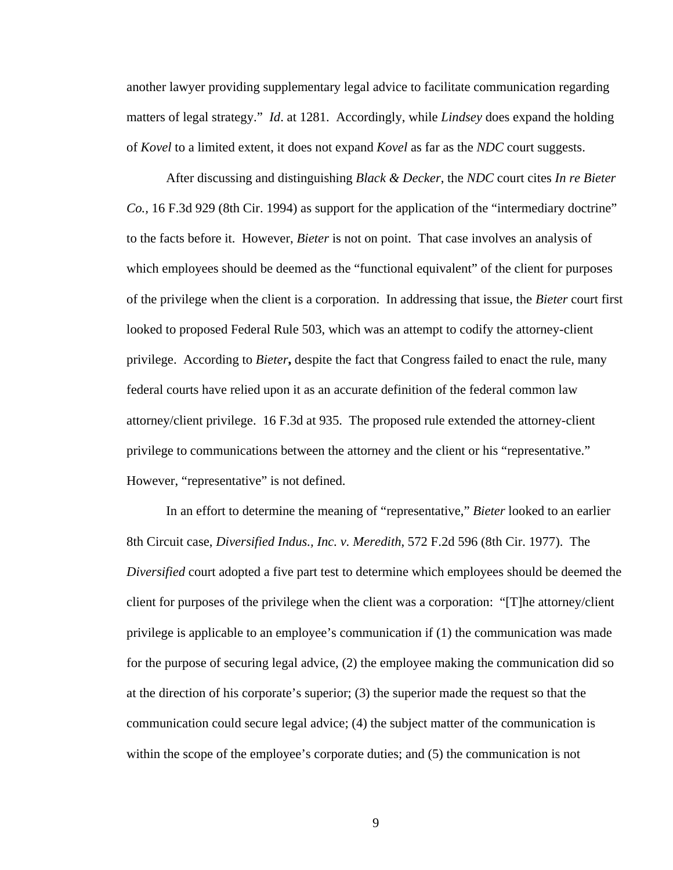another lawyer providing supplementary legal advice to facilitate communication regarding matters of legal strategy." *Id*. at 1281. Accordingly, while *Lindsey* does expand the holding of *Kovel* to a limited extent, it does not expand *Kovel* as far as the *NDC* court suggests.

 After discussing and distinguishing *Black & Decker*, the *NDC* court cites *In re Bieter Co.,* 16 F.3d 929 (8th Cir. 1994) as support for the application of the "intermediary doctrine" to the facts before it. However, *Bieter* is not on point. That case involves an analysis of which employees should be deemed as the "functional equivalent" of the client for purposes of the privilege when the client is a corporation. In addressing that issue, the *Bieter* court first looked to proposed Federal Rule 503, which was an attempt to codify the attorney-client privilege. According to *Bieter***,** despite the fact that Congress failed to enact the rule, many federal courts have relied upon it as an accurate definition of the federal common law attorney/client privilege. 16 F.3d at 935. The proposed rule extended the attorney-client privilege to communications between the attorney and the client or his "representative." However, "representative" is not defined.

 In an effort to determine the meaning of "representative," *Bieter* looked to an earlier 8th Circuit case, *Diversified Indus., Inc. v. Meredith*, 572 F.2d 596 (8th Cir. 1977). The *Diversified* court adopted a five part test to determine which employees should be deemed the client for purposes of the privilege when the client was a corporation: "[T]he attorney/client privilege is applicable to an employee's communication if (1) the communication was made for the purpose of securing legal advice, (2) the employee making the communication did so at the direction of his corporate's superior; (3) the superior made the request so that the communication could secure legal advice; (4) the subject matter of the communication is within the scope of the employee's corporate duties; and (5) the communication is not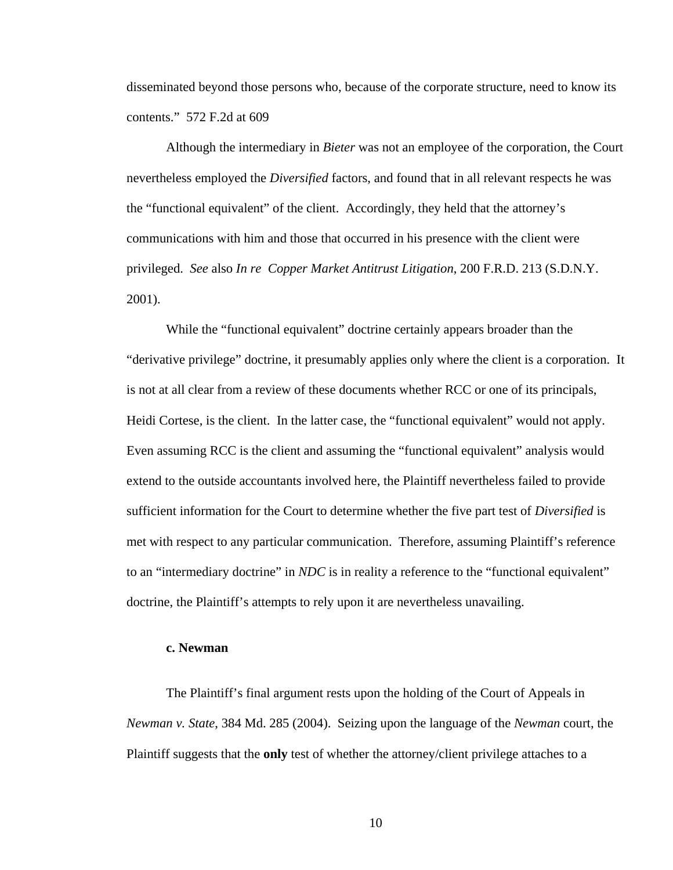disseminated beyond those persons who, because of the corporate structure, need to know its contents." 572 F.2d at 609

 Although the intermediary in *Bieter* was not an employee of the corporation, the Court nevertheless employed the *Diversified* factors, and found that in all relevant respects he was the "functional equivalent" of the client. Accordingly, they held that the attorney's communications with him and those that occurred in his presence with the client were privileged. *See* also *In re Copper Market Antitrust Litigation*, 200 F.R.D. 213 (S.D.N.Y. 2001).

 While the "functional equivalent" doctrine certainly appears broader than the "derivative privilege" doctrine, it presumably applies only where the client is a corporation. It is not at all clear from a review of these documents whether RCC or one of its principals, Heidi Cortese, is the client. In the latter case, the "functional equivalent" would not apply. Even assuming RCC is the client and assuming the "functional equivalent" analysis would extend to the outside accountants involved here, the Plaintiff nevertheless failed to provide sufficient information for the Court to determine whether the five part test of *Diversified* is met with respect to any particular communication. Therefore, assuming Plaintiff's reference to an "intermediary doctrine" in *NDC* is in reality a reference to the "functional equivalent" doctrine, the Plaintiff's attempts to rely upon it are nevertheless unavailing.

## **c. Newman**

 The Plaintiff's final argument rests upon the holding of the Court of Appeals in *Newman v. State*, 384 Md. 285 (2004). Seizing upon the language of the *Newman* court, the Plaintiff suggests that the **only** test of whether the attorney/client privilege attaches to a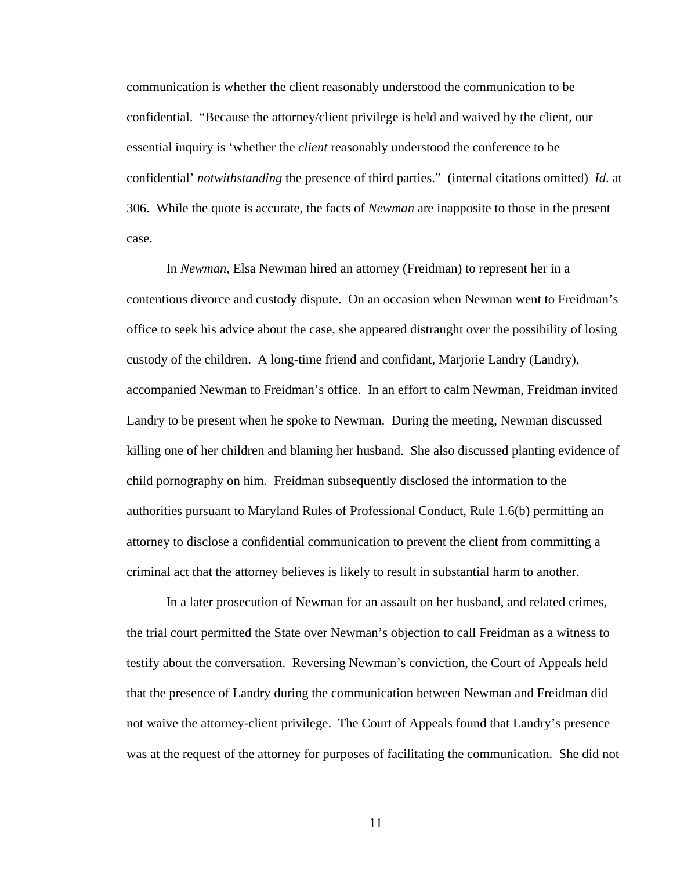communication is whether the client reasonably understood the communication to be confidential. "Because the attorney/client privilege is held and waived by the client, our essential inquiry is 'whether the *client* reasonably understood the conference to be confidential' *notwithstanding* the presence of third parties." (internal citations omitted) *Id*. at 306. While the quote is accurate, the facts of *Newman* are inapposite to those in the present case.

In *Newman*, Elsa Newman hired an attorney (Freidman) to represent her in a contentious divorce and custody dispute. On an occasion when Newman went to Freidman's office to seek his advice about the case, she appeared distraught over the possibility of losing custody of the children. A long-time friend and confidant, Marjorie Landry (Landry), accompanied Newman to Freidman's office. In an effort to calm Newman, Freidman invited Landry to be present when he spoke to Newman. During the meeting, Newman discussed killing one of her children and blaming her husband. She also discussed planting evidence of child pornography on him. Freidman subsequently disclosed the information to the authorities pursuant to Maryland Rules of Professional Conduct, Rule 1.6(b) permitting an attorney to disclose a confidential communication to prevent the client from committing a criminal act that the attorney believes is likely to result in substantial harm to another.

 In a later prosecution of Newman for an assault on her husband, and related crimes, the trial court permitted the State over Newman's objection to call Freidman as a witness to testify about the conversation. Reversing Newman's conviction, the Court of Appeals held that the presence of Landry during the communication between Newman and Freidman did not waive the attorney-client privilege. The Court of Appeals found that Landry's presence was at the request of the attorney for purposes of facilitating the communication. She did not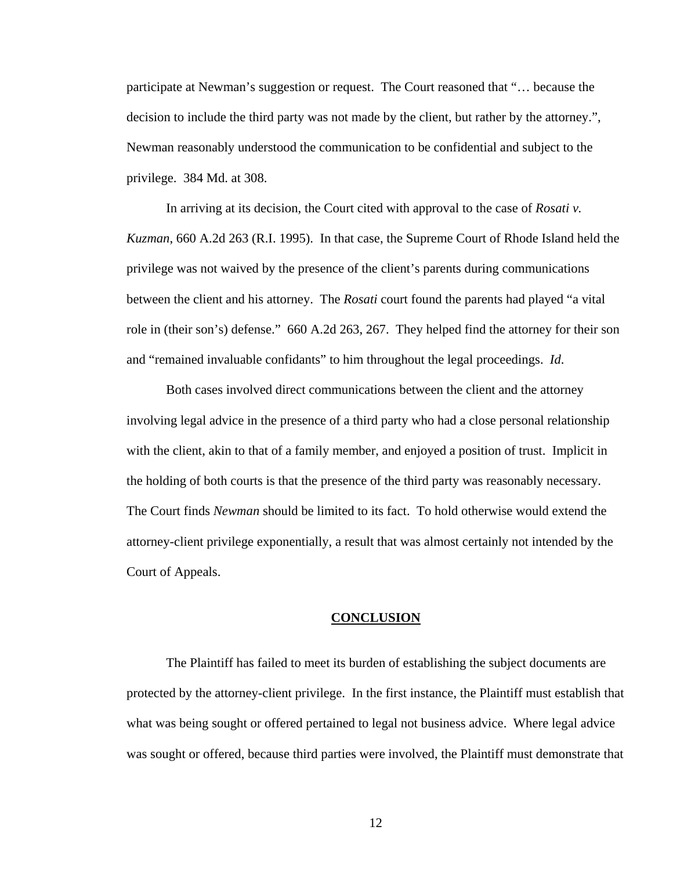participate at Newman's suggestion or request. The Court reasoned that "… because the decision to include the third party was not made by the client, but rather by the attorney.", Newman reasonably understood the communication to be confidential and subject to the privilege. 384 Md. at 308.

In arriving at its decision, the Court cited with approval to the case of *Rosati v. Kuzman*, 660 A.2d 263 (R.I. 1995). In that case, the Supreme Court of Rhode Island held the privilege was not waived by the presence of the client's parents during communications between the client and his attorney. The *Rosati* court found the parents had played "a vital role in (their son's) defense." 660 A.2d 263, 267. They helped find the attorney for their son and "remained invaluable confidants" to him throughout the legal proceedings. *Id*.

 Both cases involved direct communications between the client and the attorney involving legal advice in the presence of a third party who had a close personal relationship with the client, akin to that of a family member, and enjoyed a position of trust. Implicit in the holding of both courts is that the presence of the third party was reasonably necessary. The Court finds *Newman* should be limited to its fact. To hold otherwise would extend the attorney-client privilege exponentially, a result that was almost certainly not intended by the Court of Appeals.

#### **CONCLUSION**

 The Plaintiff has failed to meet its burden of establishing the subject documents are protected by the attorney-client privilege. In the first instance, the Plaintiff must establish that what was being sought or offered pertained to legal not business advice. Where legal advice was sought or offered, because third parties were involved, the Plaintiff must demonstrate that